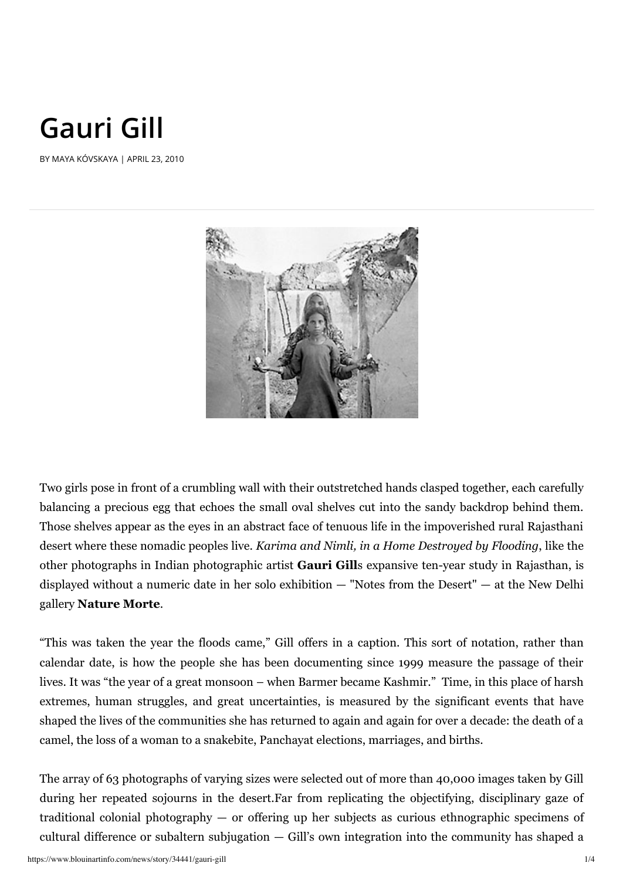## **Gauri Gill**

BY MAYA KÓVSKAYA | APRIL 23, 2010



Two girls pose in front of a crumbling wall with their outstretched hands clasped together, each carefully balancing a precious egg that echoes the small oval shelves cut into the sandy backdrop behind them. Those shelves appear as the eyes in an abstract face of tenuous life in the impoverished rural Rajasthani desert where these nomadic peoples live. *Karima and Nimli, in a Home Destroyed by Flooding*, like the other photographs in Indian photographic artist **Gauri Gill**s expansive ten-year study in Rajasthan, is displayed without a numeric date in her solo exhibition — "Notes from the Desert" — at the New Delhi gallery **Nature Morte**.

"This was taken the year the floods came," Gill offers in a caption. This sort of notation, rather than calendar date, is how the people she has been documenting since 1999 measure the passage of their lives. It was "the year of a great monsoon – when Barmer became Kashmir." Time, in this place of harsh extremes, human struggles, and great uncertainties, is measured by the significant events that have shaped the lives of the communities she has returned to again and again for over a decade: the death of a camel, the loss of a woman to a snakebite, Panchayat elections, marriages, and births.

The array of 63 photographs of varying sizes were selected out of more than 40,000 images taken by Gill during her repeated sojourns in the desert.Far from replicating the objectifying, disciplinary gaze of traditional colonial photography — or offering up her subjects as curious ethnographic specimens of cultural difference or subaltern subjugation — Gill's own integration into the community has shaped a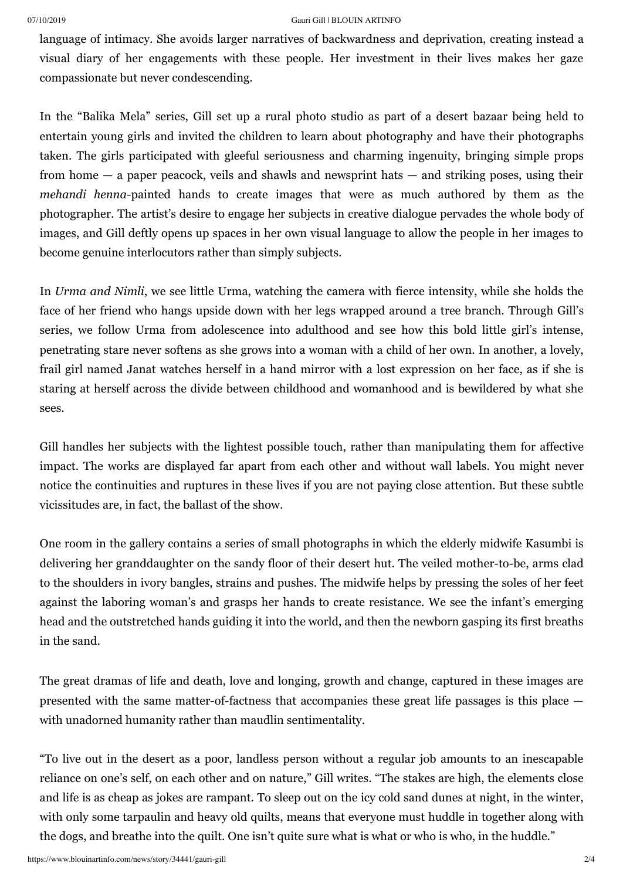## 07/10/2019 Gauri Gill | BLOUIN ARTINFO

language of intimacy. She avoids larger narratives of backwardness and deprivation, creating instead a visual diary of her engagements with these people. Her investment in their lives makes her gaze compassionate but never condescending.

In the "Balika Mela" series, Gill set up a rural photo studio as part of a desert bazaar being held to entertain young girls and invited the children to learn about photography and have their photographs taken. The girls participated with gleeful seriousness and charming ingenuity, bringing simple props from home — a paper peacock, veils and shawls and newsprint hats — and striking poses, using their *mehandi henna-painted hands to create images that were as much authored by them as the* photographer. The artist's desire to engage her subjects in creative dialogue pervades the whole body of images, and Gill deftly opens up spaces in her own visual language to allow the people in her images to become genuine interlocutors rather than simply subjects.

In *Urma and Nimli*, we see little Urma, watching the camera with fierce intensity, while she holds the face of her friend who hangs upside down with her legs wrapped around a tree branch. Through Gill's series, we follow Urma from adolescence into adulthood and see how this bold little girl's intense, penetrating stare never softens as she grows into a woman with a child of her own. In another, a lovely, frail girl named Janat watches herself in a hand mirror with a lost expression on her face, as if she is staring at herself across the divide between childhood and womanhood and is bewildered by what she sees.

Gill handles her subjects with the lightest possible touch, rather than manipulating them for affective impact. The works are displayed far apart from each other and without wall labels. You might never notice the continuities and ruptures in these lives if you are not paying close attention. But these subtle vicissitudes are, in fact, the ballast of the show.

One room in the gallery contains a series of small photographs in which the elderly midwife Kasumbi is delivering her granddaughter on the sandy floor of their desert hut. The veiled mother-to-be, arms clad to the shoulders in ivory bangles, strains and pushes. The midwife helps by pressing the soles of her feet against the laboring woman's and grasps her hands to create resistance. We see the infant's emerging head and the outstretched hands guiding it into the world, and then the newborn gasping its first breaths in the sand.

The great dramas of life and death, love and longing, growth and change, captured in these images are presented with the same matter-of-factness that accompanies these great life passages is this place with unadorned humanity rather than maudlin sentimentality.

"To live out in the desert as a poor, landless person without a regular job amounts to an inescapable reliance on one's self, on each other and on nature," Gill writes. "The stakes are high, the elements close and life is as cheap as jokes are rampant. To sleep out on the icy cold sand dunes at night, in the winter, with only some tarpaulin and heavy old quilts, means that everyone must huddle in together along with the dogs, and breathe into the quilt. One isn't quite sure what is what or who is who, in the huddle."